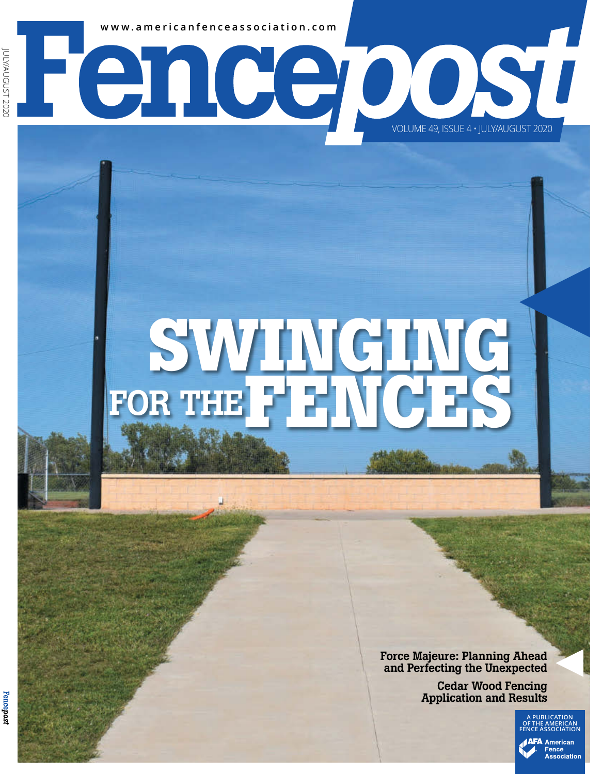**www.americanfenceassociation.com**

# **SWINGING** FOR THE FEWCES

enceposu

Force Majeure: Planning Ahead and Perfecting the Unexpected

VOLUME 49, ISSUE 4 • JULY/AUGUST 2020

Cedar Wood Fencing Application and Results

> **A PUBLICATION OF THE AMERICAN FENCE ASSOCIATION AFA** American

> > Fence Association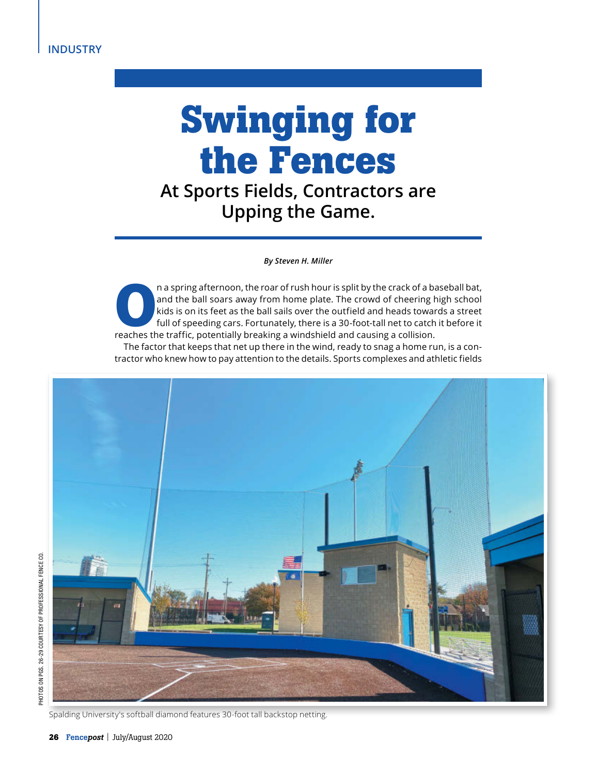## **Swinging for the Fences**

**At Sports Fields, Contractors are Upping the Game.**

*By Steven H. Miller*

**O**n a spring afternoon, the roar of rush hour is split by the crack of a baseball bat, and the ball soars away from home plate. The crowd of cheering high school kids is on its feet as the ball sails over the outfield and heads towards a street full of speeding cars. Fortunately, there is a 30-foot-tall net to catch it before it reaches the traffic, potentially breaking a windshield and causing a collision. The factor that keeps that net up there in the wind, ready to snag a home run, is a contractor who knew how to pay attention to the details. Sports complexes and athletic fields



Spalding University's softball diamond features 30-foot tall backstop netting.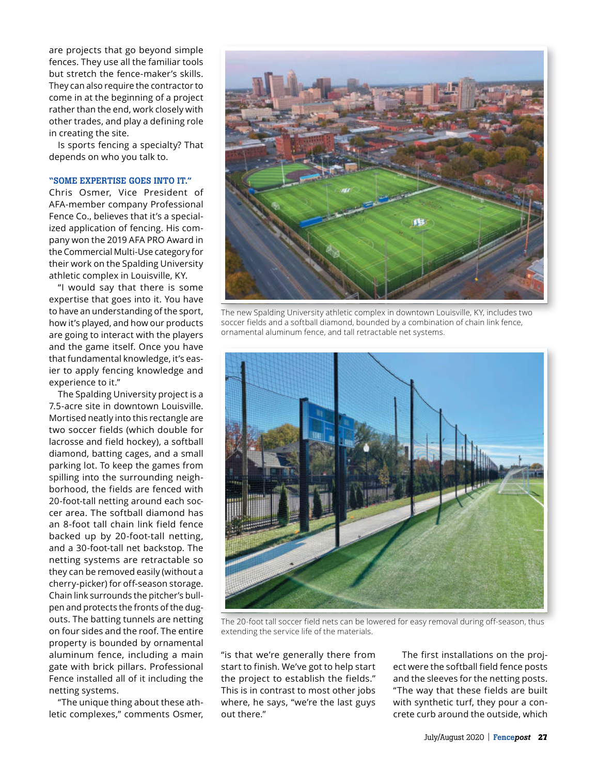are projects that go beyond simple fences. They use all the familiar tools but stretch the fence-maker's skills. They can also require the contractor to come in at the beginning of a project rather than the end, work closely with other trades, and play a defining role in creating the site.

Is sports fencing a specialty? That depends on who you talk to.

#### "SOME EXPERTISE GOES INTO IT."

Chris Osmer, Vice President of AFA-member company Professional Fence Co., believes that it's a specialized application of fencing. His company won the 2019 AFA PRO Award in the Commercial Multi-Use category for their work on the Spalding University athletic complex in Louisville, KY.

"I would say that there is some expertise that goes into it. You have to have an understanding of the sport, how it's played, and how our products are going to interact with the players and the game itself. Once you have that fundamental knowledge, it's easier to apply fencing knowledge and experience to it."

The Spalding University project is a 7.5-acre site in downtown Louisville. Mortised neatly into this rectangle are two soccer fields (which double for lacrosse and field hockey), a softball diamond, batting cages, and a small parking lot. To keep the games from spilling into the surrounding neighborhood, the fields are fenced with 20-foot-tall netting around each soccer area. The softball diamond has an 8-foot tall chain link field fence backed up by 20-foot-tall netting, and a 30-foot-tall net backstop. The netting systems are retractable so they can be removed easily (without a cherry-picker) for off-season storage. Chain link surrounds the pitcher's bullpen and protects the fronts of the dugouts. The batting tunnels are netting on four sides and the roof. The entire property is bounded by ornamental aluminum fence, including a main gate with brick pillars. Professional Fence installed all of it including the netting systems.

"The unique thing about these athletic complexes," comments Osmer,



The new Spalding University athletic complex in downtown Louisville, KY, includes two soccer fields and a softball diamond, bounded by a combination of chain link fence, ornamental aluminum fence, and tall retractable net systems.



The 20-foot tall soccer field nets can be lowered for easy removal during off-season, thus extending the service life of the materials.

"is that we're generally there from start to finish. We've got to help start the project to establish the fields." This is in contrast to most other jobs where, he says, "we're the last guys out there."

The first installations on the project were the softball field fence posts and the sleeves for the netting posts. "The way that these fields are built with synthetic turf, they pour a concrete curb around the outside, which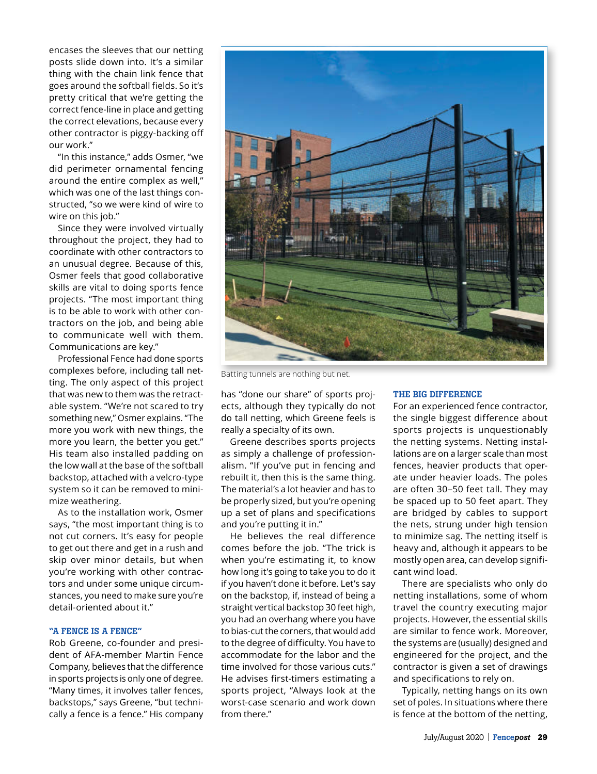encases the sleeves that our netting posts slide down into. It's a similar thing with the chain link fence that goes around the softball fields. So it's pretty critical that we're getting the correct fence-line in place and getting the correct elevations, because every other contractor is piggy-backing off our work."

"In this instance," adds Osmer, "we did perimeter ornamental fencing around the entire complex as well," which was one of the last things constructed, "so we were kind of wire to wire on this job."

Since they were involved virtually throughout the project, they had to coordinate with other contractors to an unusual degree. Because of this, Osmer feels that good collaborative skills are vital to doing sports fence projects. "The most important thing is to be able to work with other contractors on the job, and being able to communicate well with them. Communications are key."

Professional Fence had done sports complexes before, including tall netting. The only aspect of this project that was new to them was the retractable system. "We're not scared to try something new," Osmer explains. "The more you work with new things, the more you learn, the better you get." His team also installed padding on the low wall at the base of the softball backstop, attached with a velcro-type system so it can be removed to minimize weathering.

As to the installation work, Osmer says, "the most important thing is to not cut corners. It's easy for people to get out there and get in a rush and skip over minor details, but when you're working with other contractors and under some unique circumstances, you need to make sure you're detail-oriented about it."

### "A FENCE IS A FENCE"

Rob Greene, co-founder and president of AFA-member Martin Fence Company, believes that the difference in sports projects is only one of degree. "Many times, it involves taller fences, backstops," says Greene, "but technically a fence is a fence." His company



Batting tunnels are nothing but net.

has "done our share" of sports projects, although they typically do not do tall netting, which Greene feels is really a specialty of its own.

Greene describes sports projects as simply a challenge of professionalism. "If you've put in fencing and rebuilt it, then this is the same thing. The material's a lot heavier and has to be properly sized, but you're opening up a set of plans and specifications and you're putting it in."

He believes the real difference comes before the job. "The trick is when you're estimating it, to know how long it's going to take you to do it if you haven't done it before. Let's say on the backstop, if, instead of being a straight vertical backstop 30 feet high, you had an overhang where you have to bias-cut the corners, that would add to the degree of difficulty. You have to accommodate for the labor and the time involved for those various cuts." He advises first-timers estimating a sports project, "Always look at the worst-case scenario and work down from there."

#### THE BIG DIFFERENCE

For an experienced fence contractor, the single biggest difference about sports projects is unquestionably the netting systems. Netting installations are on a larger scale than most fences, heavier products that operate under heavier loads. The poles are often 30–50 feet tall. They may be spaced up to 50 feet apart. They are bridged by cables to support the nets, strung under high tension to minimize sag. The netting itself is heavy and, although it appears to be mostly open area, can develop significant wind load.

There are specialists who only do netting installations, some of whom travel the country executing major projects. However, the essential skills are similar to fence work. Moreover, the systems are (usually) designed and engineered for the project, and the contractor is given a set of drawings and specifications to rely on.

Typically, netting hangs on its own set of poles. In situations where there is fence at the bottom of the netting,